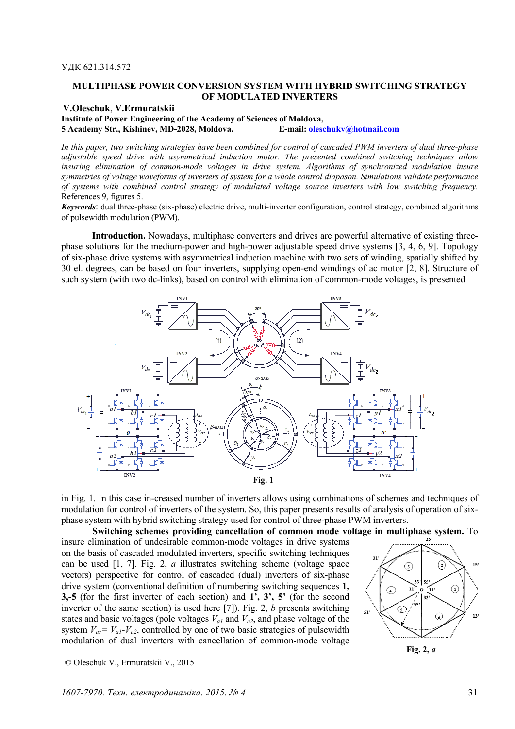## **MULTIPHASE POWER CONVERSION SYSTEM WITH HYBRID SWITCHING STRATEGY OF MODULATED INVERTERS**

# **V.Oleschuk**, **V.Ermuratskii**

**Institute of Power Engineering of the Academy of Sciences of Moldova, 5 Academy Str., Kishinev, MD-2028, Moldova. E-mail: oleschukv@hotmail.com** 

*In this paper, two switching strategies have been combined for control of cascaded PWM inverters of dual three-phase adjustable speed drive with asymmetrical induction motor. The presented combined switching techniques allow insuring elimination of common-mode voltages in drive system. Algorithms of synchronized modulation insure symmetries of voltage waveforms of inverters of system for a whole control diapason. Simulations validate performance of systems with combined control strategy of modulated voltage source inverters with low switching frequency.*  Referеnces 9, figures 5.

*Keywords*: dual three-phase (six-phase) electric drive, multi-inverter configuration, control strategy, combined algorithms of pulsewidth modulation (PWM).

**Introduction.** Nowadays, multiphase converters and drives are powerful alternative of existing threephase solutions for the medium-power and high-power adjustable speed drive systems [3, 4, 6, 9]. Topology of six-phase drive systems with asymmetrical induction machine with two sets of winding, spatially shifted by 30 el. degrees, can be based on four inverters, supplying open-end windings of ac motor [2, 8]. Structure of such system (with two dc-links), based on control with elimination of common-mode voltages, is presented



in Fig. 1. In this case in-creased number of inverters allows using combinations of schemes and techniques of modulation for control of inverters of the system. So, this paper presents results of analysis of operation of sixphase system with hybrid switching strategy used for control of three-phase PWM inverters.

**Switching schemes providing cancellation of common mode voltage in multiphase system.** To

insure elimination of undesirable common-mode voltages in drive systems on the basis of cascaded modulated inverters, specific switching techniques can be used [1, 7]. Fig. 2, *a* illustrates switching scheme (voltage space vectors) perspective for control of cascaded (dual) inverters of six-phase drive system (conventional definition of numbering switching sequences **1, 3,-5** (for the first inverter of each section) and **1', 3', 5'** (for the second inverter of the same section) is used here [7]). Fig. 2, *b* presents switching states and basic voltages (pole voltages  $V_{a1}$  and  $V_{a2}$ , and phase voltage of the system  $V_{as} = V_{a1} - V_{a2}$ , controlled by one of two basic strategies of pulsewidth modulation of dual inverters with cancellation of common-mode voltage



**Fig. 2,** *a*

l

 <sup>©</sup> Oleschuk V., Ermuratskii V., 2015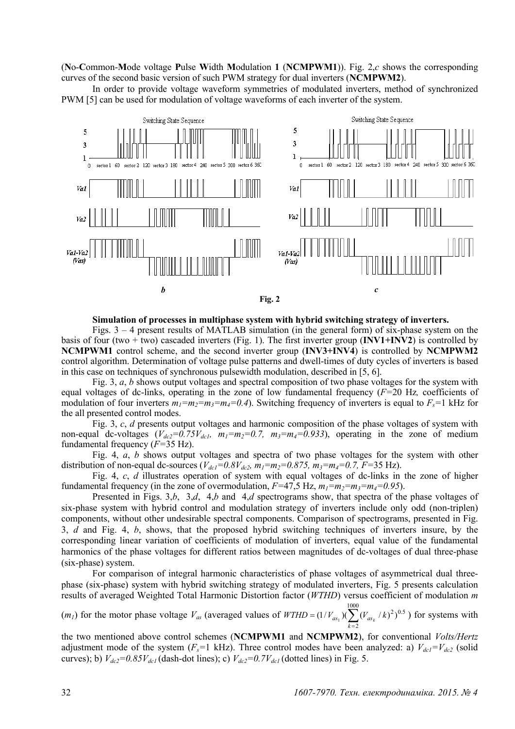(**N**o-**C**ommon-**M**ode voltage **P**ulse **W**idth **M**odulation **1** (**NCMPWM1**)). Fig. 2,*c* shows the corresponding curves of the second basic version of such PWM strategy for dual inverters (**NCMPWM2**).

In order to provide voltage waveform symmetries of modulated inverters, method of synchronized PWM [5] can be used for modulation of voltage waveforms of each inverter of the system.



#### **Simulation of processes in multiphase system with hybrid switching strategy of inverters.**

Figs.  $3 - 4$  present results of MATLAB simulation (in the general form) of six-phase system on the basis of four (two + two) cascaded inverters (Fig. 1). The first inverter group (**INV1+INV2**) is controlled by **NCMPWM1** control scheme, and the second inverter group (**INV3+INV4**) is controlled by **NCMPWM2** control algorithm. Determination of voltage pulse patterns and dwell-times of duty cycles of inverters is based in this case on techniques of synchronous pulsewidth modulation, described in [5, 6].

Fig. 3, *a*, *b* shows output voltages and spectral composition of two phase voltages for the system with equal voltages of dc-links, operating in the zone of low fundamental frequency (*F=*20 Hz*,* coefficients of modulation of four inverters  $m_1 = m_2 = m_3 = m_4 = 0.4$ . Switching frequency of inverters is equal to  $F_s = 1$  kHz for the all presented control modes.

Fig. 3, *c*, *d* presents output voltages and harmonic composition of the phase voltages of system with non-equal dc-voltages  $(V_{dc2}=0.75V_{dc1}$ ,  $m_1=m_2=0.7$ ,  $m_3=m_4=0.933$ ), operating in the zone of medium fundamental frequency (*F=*35 Hz).

Fig. 4, *a*, *b* shows output voltages and spectra of two phase voltages for the system with other distribution of non-equal dc-sources ( $V_{dc1} = 0.8V_{dc2}$ ,  $m_1 = m_2 = 0.875$ ,  $m_3 = m_4 = 0.7$ ,  $F = 35$  Hz).

Fig. 4, *c*, *d* illustrates operation of system with equal voltages of dc-links in the zone of higher fundamental frequency (in the zone of overmodulation,  $F=47.5$  Hz,  $m_1=m_2=m_3=m_4=0.95$ ).

Presented in Figs. 3,*b*, 3,*d*, 4,*b* and 4,*d* spectrograms show, that spectra of the phase voltages of six-phase system with hybrid control and modulation strategy of inverters include only odd (non-triplen) components, without other undesirable spectral components. Comparison of spectrograms, presented in Fig. 3, *d* and Fig. 4, *b*, shows, that the proposed hybrid switching techniques of inverters insure, by the corresponding linear variation of coefficients of modulation of inverters, equal value of the fundamental harmonics of the phase voltages for different ratios between magnitudes of dc-voltages of dual three-phase (six-phase) system.

For comparison of integral harmonic characteristics of phase voltages of asymmetrical dual threephase (six-phase) system with hybrid switching strategy of modulated inverters, Fig. 5 presents calculation results of averaged Weighted Total Harmonic Distortion factor (*WTHD*) versus coefficient of modulation *m*

 $(m_l)$  for the motor phase voltage  $V_{as}$  (averaged values of  $WTHD = (1/V_{as_1})(\sum_{k=2}^{n}$ 1000 2  $(1/V_{as_1})(\sum_{s_k}/k)^2)^{0.5}$ *k*  $WTHD = (1/V_{as_1})(\sum_{s_k}(V_{as_k}/k)^2)^{0.5}$  for systems with

the two mentioned above control schemes (**NCMPWM1** and **NCMPWM2**), for conventional *Volts/Hertz* adjustment mode of the system ( $F_s$ =1 kHz). Three control modes have been analyzed: a)  $V_{dc1} = V_{dc2}$  (solid curves); b)  $V_{dc2} = 0.85V_{dc1}$  (dash-dot lines); c)  $V_{dc2} = 0.7V_{dc1}$  (dotted lines) in Fig. 5.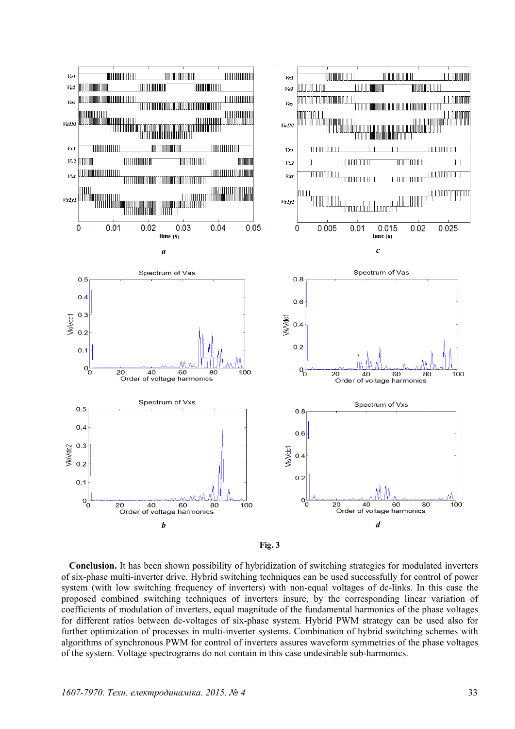

**Fig. 3** 

**Conclusion.** It has been shown possibility of hybridization of switching strategies for modulated inverters of six-phase multi-inverter drive. Hybrid switching techniques can be used successfully for control of power system (with low switching frequency of inverters) with non-equal voltages of dc-links. In this case the proposed combined switching techniques of inverters insure, by the corresponding linear variation of coefficients of modulation of inverters, equal magnitude of the fundamental harmonics of the phase voltages for different ratios between dc-voltages of six-phase system. Hybrid PWM strategy can be used also for further optimization of processes in multi-inverter systems. Combination of hybrid switching schemes with algorithms of synchronous PWM for control of inverters assures waveform symmetries of the phase voltages of the system. Voltage spectrograms do not contain in this case undesirable sub-harmonics.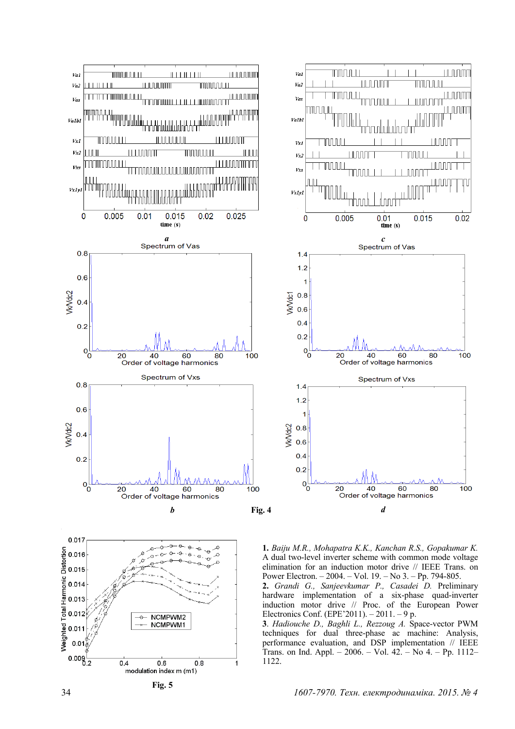



**1.** *Baiju M.R., Mohapatra K.K., Kanchan R.S., Gopakumar K.* A dual two-level inverter scheme with common mode voltage elimination for an induction motor drive // IEEE Trans. on Power Electron. – 2004. – Vol. 19. – No 3. – Pp. 794-805.

**2.** *Grandi G., Sanjeevkumar P., Casadei D.* Preliminary hardware implementation of a six-phase quad-inverter induction motor drive // Proc. of the European Power Electronics Conf. (EPE'2011). – 2011. – 9 p.

**3**. *Hadiouche D., Baghli L., Rezzoug A.* Space-vector PWM techniques for dual three-phase ac machine: Analysis, performance evaluation, and DSP implementation // IEEE Trans. on Ind. Appl. – 2006. – Vol. 42. – No 4. – Pp. 1112– 1122.